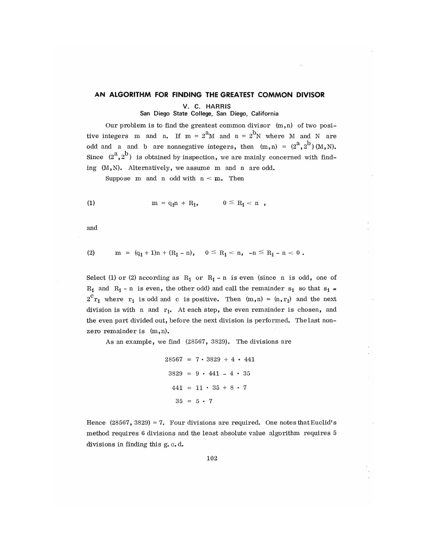## AN ALGORITHM FOR FINDING THE GREATEST COMMON DIVISOR

V. C. HARRIS

## San Diego State College, San Diego, California

Our problem is to find the greatest common divisor  $(m,n)$  of two positive integers m and n. If m =  $2^m$ M and n =  $2^b$ N where M and N are odd and a and b are nonnegative integers, then  $(m, n) = (2^a, 2^b) (M, N)$ . Since  $(2^a, 2^b)$  is obtained by inspection, we are mainly concerned with find-Since (2 ,2 ) is obtained by inspection, we a r e mainly concerned with find- $\lim_{\epsilon \to 0}$  (M,N). Alternatively, we assume in and n are odd.

Suppose m and n odd with  $n < m$ . Then

(1) 
$$
m = q_1 n + R_1
$$
,  $0 \le R_1 < n$ ,

and

$$
(2) \t m = (q_1 + 1)n + (R_1 - n), \t 0 \le R_1 < n, -n \le R_1 - n < 0.
$$

Select (1) or (2) according as  $R_1$  or  $R_1$  - n is even (since n is odd, one of  $R_1$  and  $R_1$  - n is even, the other odd) and call the remainder s<sub>1</sub> so that s<sub>1</sub> =  $2<sup>C</sup> r<sub>1</sub>$  where  $r<sub>1</sub>$  is odd and c is positive. Then  $(m,n) = (n, r<sub>1</sub>)$  and the next division is with n and  $r_{1}$ . At each step, the even remainder is chosen, and the even part divided out, before the next division is performed. The last nonzero remainder is  $(m,n)$ .

As an example, we find  $(28567, 3829)$ . The divisions are

$$
28567 = 7 \cdot 3829 + 4 \cdot 441
$$

$$
3829 = 9 \cdot 441 - 4 \cdot 35
$$

$$
441 = 11 \cdot 35 + 8 \cdot 7
$$

$$
35 = 5 \cdot 7
$$

Hence  $(28567, 3829) = 7$ . Four divisions are required. One notes that Euclid's method requires 6 divisions and the least absolute value algorithm requires 5 divisions in finding this g. c.d.